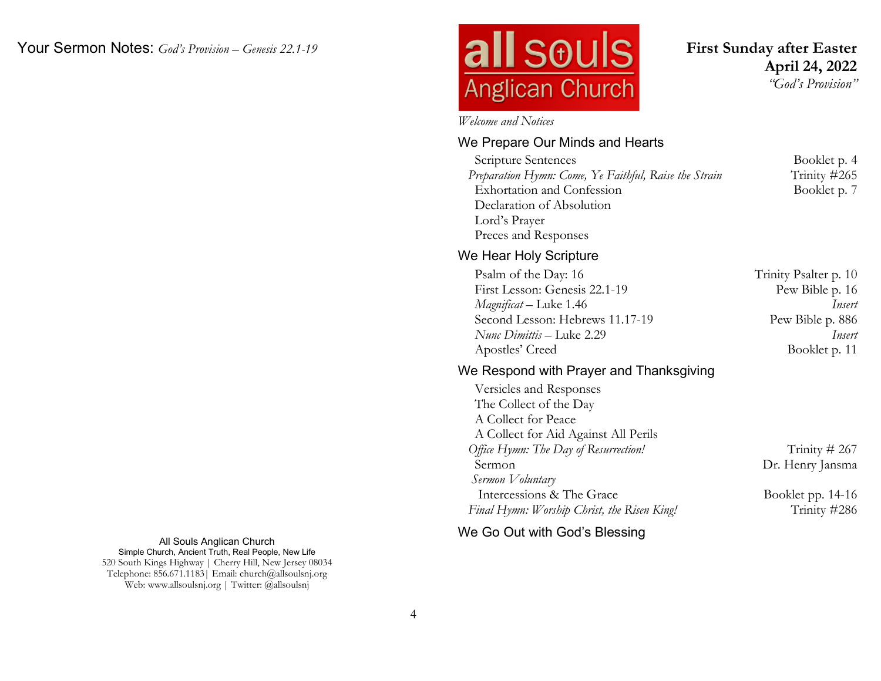# **all souls Anglican Church**

**First Sunday after Easter April 24, 2022** *"God's Provision"*

*Welcome and Notices*

#### We Prepare Our Minds and Hearts

**Scripture Sentences** Booklet p. 4 *Preparation Hymn: Come, Ye Faithful, Raise the Strain* Trinity #265 Exhortation and Confession Booklet p. 7 Declaration of Absolution Lord's Prayer Preces and Responses

#### We Hear Holy Scripture

| Psalm of the Day: 16            | Trinity Psalter p. 10 |
|---------------------------------|-----------------------|
| First Lesson: Genesis 22.1-19   | Pew Bible p. 16       |
| <i>Magnificat</i> – Luke 1.46   | Insert                |
| Second Lesson: Hebrews 11.17-19 | Pew Bible p. 886      |
| Nunc Dimittis – Luke 2.29       | Insert                |
| Apostles' Creed                 | Booklet p. 11         |

#### We Respond with Prayer and Thanksgiving

 Versicles and Responses The Collect of the Day A Collect for Peace A Collect for Aid Against All Perils *Office Hymn: The Day of Resurrection!* Trinity # 267 Sermon Dr. Henry Jansma  *Sermon Voluntary* Intercessions & The Grace Booklet pp. 14-16 *Final Hymn: Worship Christ, the Risen King!* Trinity #286

All Souls Anglican Church Simple Church, Ancient Truth, Real People, New Life 520 South Kings Highway | Cherry Hill, New Jersey 08034 Telephone: 856.671.1183| Email: church@allsoulsnj.org Web: www.allsoulsnj.org | Twitter: @allsoulsnj

We Go Out with God's Blessing